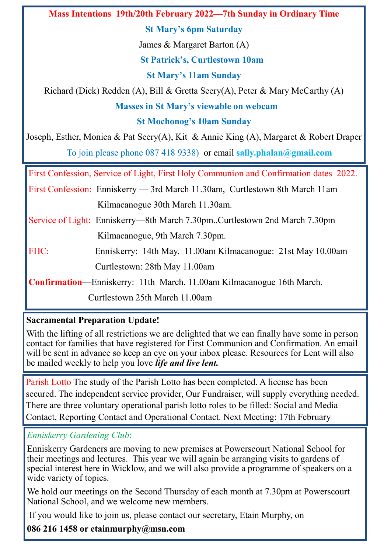**Mass Intentions 19th/20th February 2022—7th Sunday in Ordinary Time**

**St Mary's 6pm Saturday**

James & Margaret Barton (A)

**St Patrick's, Curtlestown 10am**

**St Mary's 11am Sunday**

Richard (Dick) Redden (A), Bill & Gretta Seery(A), Peter & Mary McCarthy (A)

**Masses in St Mary's viewable on webcam**

**St Mochonog's 10am Sunday**

Joseph, Esther, Monica & Pat Seery(A), Kit & Annie King (A), Margaret & Robert Draper To join please phone 087 418 9338) or email **sally.phalan@gmail.com**

First Confession, Service of Light, First Holy Communion and Confirmation dates 2022.

First Confession: Enniskerry — 3rd March 11.30am, Curtlestown 8th March 11am Kilmacanogue 30th March 11.30am.

Service of Light: Enniskerry—8th March 7.30pm..Curtlestown 2nd March 7.30pm Kilmacanogue, 9th March 7.30pm.

FHC: Enniskerry: 14th May. 11.00am Kilmacanogue: 21st May 10.00am Curtlestown: 28th May 11.00am

**Confirmation**—Enniskerry: 11th March. 11.00am Kilmacanogue 16th March.

Curtlestown 25th March 11.00am

# **Sacramental Preparation Update!**

With the lifting of all restrictions we are delighted that we can finally have some in person contact for families that have registered for First Communion and Confirmation. An email will be sent in advance so keep an eye on your inbox please. Resources for Lent will also be mailed weekly to help you love *life and live lent.*

Parish Lotto The study of the Parish Lotto has been completed. A license has been secured. The independent service provider, Our Fundraiser, will supply everything needed. There are three voluntary operational parish lotto roles to be filled: Social and Media Contact, Reporting Contact and Operational Contact. Next Meeting: 17th February

# *Enniskerry Gardening Club*:

Enniskerry Gardeners are moving to new premises at Powerscourt National School for their meetings and lectures. This year we will again be arranging visits to gardens of special interest here in Wicklow, and we will also provide a programme of speakers on a wide variety of topics.

We hold our meetings on the Second Thursday of each month at 7.30pm at Powerscourt National School, and we welcome new members.

If you would like to join us, please contact our secretary, Etain Murphy, on

**086 216 1458 or etainmurphy@msn.com**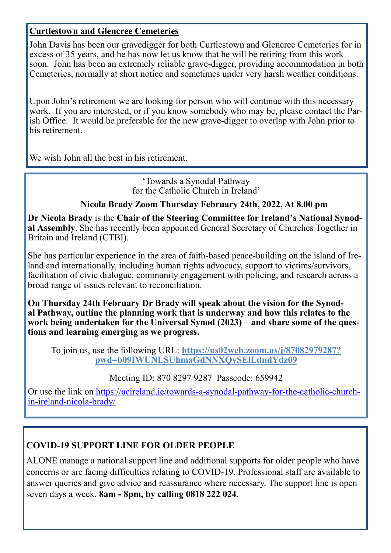## **Curtlestown and Glencree Cemeteries**

John Davis has been our gravedigger for both Curtlestown and Glencree Cemeteries for in excess of 35 years, and he has now let us know that he will be retiring from this work soon. John has been an extremely reliable grave-digger, providing accommodation in both Cemeteries, normally at short notice and sometimes under very harsh weather conditions.

Upon John's retirement we are looking for person who will continue with this necessary work. If you are interested, or if you know somebody who may be, please contact the Parish Office. It would be preferable for the new grave-digger to overlap with John prior to his retirement.

We wish John all the best in his retirement.

'Towards a Synodal Pathway for the Catholic Church in Ireland'

## **Nicola Brady Zoom Thursday February 24th, 2022, At 8.00 pm**

**Dr Nicola Brady** is the **Chair of the Steering Committee for Ireland's National Synodal Assembly**. She has recently been appointed General Secretary of Churches Together in Britain and Ireland (CTBI).

She has particular experience in the area of faith-based peace-building on the island of Ireland and internationally, including human rights advocacy, support to victims/survivors, facilitation of civic dialogue, community engagement with policing, and research across a broad range of issues relevant to reconciliation.

**On Thursday 24th February Dr Brady will speak about the vision for the Synodal Pathway, outline the planning work that is underway and how this relates to the work being undertaken for the Universal Synod (2023) – and share some of the questions and learning emerging as we progress.**

To join us, use the following URL: **[https://us02web.zoom.us/j/87082979287?](https://us02web.zoom.us/j/87082979287?pwd=b09IWUNLSUhmaGdNNXQySElLdndYdz09) [pwd=b09IWUNLSUhmaGdNNXQySElLdndYdz09](https://us02web.zoom.us/j/87082979287?pwd=b09IWUNLSUhmaGdNNXQySElLdndYdz09)**

Meeting ID: 870 8297 9287 Passcode: 659942

Or use the link on [https://acireland.ie/towards](https://acireland.ie/towards-a-synodal-pathway-for-the-catholic-church-in-ireland-nicola-brady/)-a-synodal-pathway-for-the-catholic-churchin-[ireland](https://acireland.ie/towards-a-synodal-pathway-for-the-catholic-church-in-ireland-nicola-brady/)-nicola-brady/

## **COVID-19 SUPPORT LINE FOR OLDER PEOPLE**

ALONE manage a national support line and additional supports for older people who have concerns or are facing difficulties relating to COVID-19. Professional staff are available to answer queries and give advice and reassurance where necessary. The support line is open seven days a week, **8am - 8pm, by calling 0818 222 024**.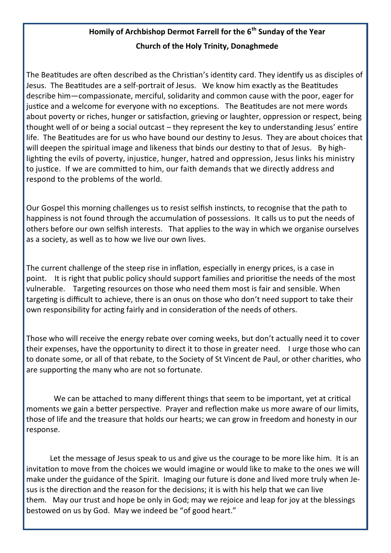# **Homily of Archbishop Dermot Farrell for the 6th Sunday of the Year Church of the Holy Trinity, Donaghmede**

The Beatitudes are often described as the Christian's identity card. They identify us as disciples of Jesus. The Beatitudes are a self-portrait of Jesus. We know him exactly as the Beatitudes describe him—compassionate, merciful, solidarity and common cause with the poor, eager for justice and a welcome for everyone with no exceptions. The Beatitudes are not mere words about poverty or riches, hunger or satisfaction, grieving or laughter, oppression or respect, being thought well of or being a social outcast – they represent the key to understanding Jesus' entire life. The Beatitudes are for us who have bound our destiny to Jesus. They are about choices that will deepen the spiritual image and likeness that binds our destiny to that of Jesus. By highlighting the evils of poverty, injustice, hunger, hatred and oppression, Jesus links his ministry to justice. If we are committed to him, our faith demands that we directly address and respond to the problems of the world.

Our Gospel this morning challenges us to resist selfish instincts, to recognise that the path to happiness is not found through the accumulation of possessions. It calls us to put the needs of others before our own selfish interests. That applies to the way in which we organise ourselves as a society, as well as to how we live our own lives.

The current challenge of the steep rise in inflation, especially in energy prices, is a case in point. It is right that public policy should support families and prioritise the needs of the most vulnerable. Targeting resources on those who need them most is fair and sensible. When targeting is difficult to achieve, there is an onus on those who don't need support to take their own responsibility for acting fairly and in consideration of the needs of others.

Those who will receive the energy rebate over coming weeks, but don't actually need it to cover their expenses, have the opportunity to direct it to those in greater need. I urge those who can to donate some, or all of that rebate, to the Society of St Vincent de Paul, or other charities, who are supporting the many who are not so fortunate.

We can be attached to many different things that seem to be important, yet at critical moments we gain a better perspective. Prayer and reflection make us more aware of our limits, those of life and the treasure that holds our hearts; we can grow in freedom and honesty in our response.

Let the message of Jesus speak to us and give us the courage to be more like him. It is an invitation to move from the choices we would imagine or would like to make to the ones we will make under the guidance of the Spirit. Imaging our future is done and lived more truly when Jesus is the direction and the reason for the decisions; it is with his help that we can live them. May our trust and hope be only in God; may we rejoice and leap for joy at the blessings bestowed on us by God. May we indeed be "of good heart."